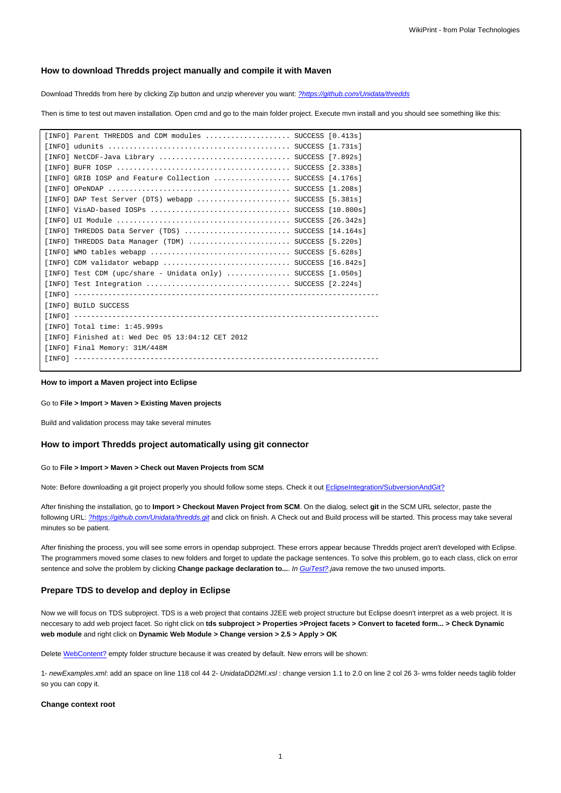## **How to download Thredds project manually and compile it with Maven**

Download Thredds from here by clicking Zip button and unzip wherever you want: [?https://github.com/Unidata/thredds](https://github.com/Unidata/thredds)

Then is time to test out maven installation. Open cmd and go to the main folder project. Execute mvn install and you should see something like this:

| [INFO] Parent THREDDS and CDM modules $\ldots \ldots \ldots \ldots \ldots$ SUCCESS [0.413s] |  |
|---------------------------------------------------------------------------------------------|--|
|                                                                                             |  |
| [INFO] NetCDF-Java Library  SUCCESS [7.892s]                                                |  |
|                                                                                             |  |
| [INFO] GRIB IOSP and Feature Collection  SUCCESS [4.176s]                                   |  |
|                                                                                             |  |
| $[INFO]$ DAP Test Server (DTS) webapp  SUCCESS $[5.381s]$                                   |  |
| [INFO] VisAD-based IOSPs  SUCCESS [10.800s]                                                 |  |
|                                                                                             |  |
| [INFO] THREDDS Data Server (TDS)  SUCCESS [14.164s]                                         |  |
| [INFO] THREDDS Data Manager (TDM)  SUCCESS [5.220s]                                         |  |
|                                                                                             |  |
| [INFO] CDM validator webapp  SUCCESS [16.842s]                                              |  |
| [INFO] Test CDM (upc/share - Unidata only)  SUCCESS $[1.050s]$                              |  |
| [INFO] Test Integration  SUCCESS [2.224s]                                                   |  |
|                                                                                             |  |
| [INFO] BUILD SUCCESS                                                                        |  |
|                                                                                             |  |
| [INFO] Total time: 1:45.999s                                                                |  |
| [INFO] Finished at: Wed Dec 05 13:04:12 CET 2012                                            |  |
| [INFO] Final Memory: 31M/448M                                                               |  |
|                                                                                             |  |
|                                                                                             |  |

#### **How to import a Maven project into Eclipse**

#### Go to **File > Import > Maven > Existing Maven projects**

Build and validation process may take several minutes

### **How to import Thredds project automatically using git connector**

### Go to **File > Import > Maven > Check out Maven Projects from SCM**

Note: Before downloading a git project properly you should follow some steps. Check it out EclipseIntegration/SubversionAndGit?

After finishing the installation, go to **Import > Checkout Maven Project from SCM**. On the dialog, select **git** in the SCM URL selector, paste the following URL: [?https://github.com/Unidata/thredds.git](https://github.com/Unidata/thredds.git) and click on finish. A Check out and Build process will be started. This process may take several minutes so be patient.

After finishing the process, you will see some errors in opendap subproject. These errors appear because Thredds project aren't developed with Eclipse. The programmers moved some clases to new folders and forget to update the package sentences. To solve this problem, go to each class, click on error sentence and solve the problem by clicking Change package declaration to.... In GuiTest?.java remove the two unused imports.

## **Prepare TDS to develop and deploy in Eclipse**

Now we will focus on TDS subproject. TDS is a web project that contains J2EE web project structure but Eclipse doesn't interpret as a web project. It is neccesary to add web project facet. So right click on **tds subproject > Properties >Project facets > Convert to faceted form... > Check Dynamic web module** and right click on **Dynamic Web Module > Change version > 2.5 > Apply > OK**

Delete WebContent? empty folder structure because it was created by default. New errors will be shown:

1- newExamples.xml: add an space on line 118 col 44 2- UnidataDD2MI.xsl: change version 1.1 to 2.0 on line 2 col 26 3- wms folder needs taglib folder so you can copy it.

#### **Change context root**